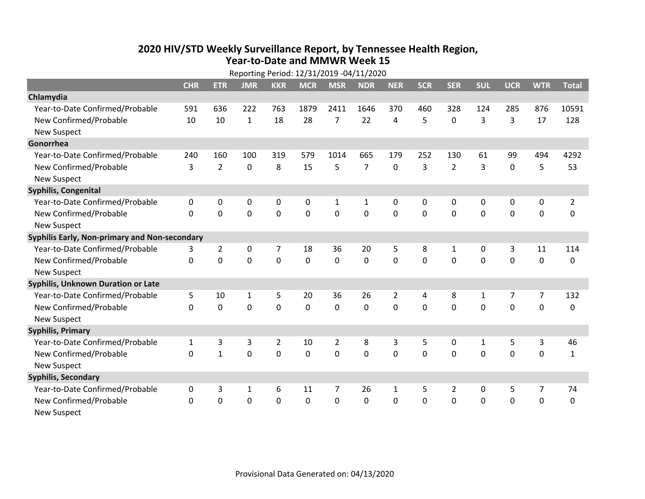## **2020 HIV /STD Weekly Surveillance Report, by Tennessee Health Region, Year‐to‐Date and MMWR Week 15** Reporting Period: 12/31/2019 ‐04/11/2020

| Reporting Period: 12/31/2019 -04/11/2020      |              |                |                |                |             |                |                |                |            |                |             |                |                |                |
|-----------------------------------------------|--------------|----------------|----------------|----------------|-------------|----------------|----------------|----------------|------------|----------------|-------------|----------------|----------------|----------------|
|                                               | <b>CHR</b>   | <b>ETR</b>     | <b>JMR</b>     | <b>KKR</b>     | <b>MCR</b>  | <b>MSR</b>     | <b>NDR</b>     | <b>NER</b>     | <b>SCR</b> | <b>SER</b>     | <b>SUL</b>  | <b>UCR</b>     | <b>WTR</b>     | <b>Total</b>   |
| Chlamydia                                     |              |                |                |                |             |                |                |                |            |                |             |                |                |                |
| Year-to-Date Confirmed/Probable               | 591          | 636            | 222            | 763            | 1879        | 2411           | 1646           | 370            | 460        | 328            | 124         | 285            | 876            | 10591          |
| New Confirmed/Probable                        | 10           | 10             | $\mathbf{1}$   | 18             | 28          | $\overline{7}$ | 22             | 4              | 5          | $\pmb{0}$      | 3           | 3              | 17             | 128            |
| <b>New Suspect</b>                            |              |                |                |                |             |                |                |                |            |                |             |                |                |                |
| Gonorrhea                                     |              |                |                |                |             |                |                |                |            |                |             |                |                |                |
| Year-to-Date Confirmed/Probable               | 240          | 160            | 100            | 319            | 579         | 1014           | 665            | 179            | 252        | 130            | 61          | 99             | 494            | 4292           |
| New Confirmed/Probable                        | 3            | $\overline{2}$ | $\mathbf 0$    | 8              | 15          | 5              | $\overline{7}$ | 0              | 3          | $\overline{2}$ | 3           | $\mathbf 0$    | 5              | 53             |
| <b>New Suspect</b>                            |              |                |                |                |             |                |                |                |            |                |             |                |                |                |
| <b>Syphilis, Congenital</b>                   |              |                |                |                |             |                |                |                |            |                |             |                |                |                |
| Year-to-Date Confirmed/Probable               | 0            | 0              | 0              | 0              | 0           | $\mathbf{1}$   | 1              | 0              | 0          | 0              | 0           | 0              | $\mathbf 0$    | $\overline{2}$ |
| New Confirmed/Probable                        | $\Omega$     | $\mathbf 0$    | $\mathbf 0$    | 0              | 0           | $\mathbf 0$    | 0              | $\Omega$       | 0          | 0              | 0           | $\mathbf 0$    | $\mathbf 0$    | 0              |
| <b>New Suspect</b>                            |              |                |                |                |             |                |                |                |            |                |             |                |                |                |
| Syphilis Early, Non-primary and Non-secondary |              |                |                |                |             |                |                |                |            |                |             |                |                |                |
| Year-to-Date Confirmed/Probable               | 3            | $\overline{2}$ | 0              | 7              | 18          | 36             | 20             | 5              | 8          | 1              | 0           | 3              | 11             | 114            |
| New Confirmed/Probable                        | $\Omega$     | $\mathbf 0$    | $\overline{0}$ | 0              | $\mathbf 0$ | $\mathbf 0$    | $\mathbf 0$    | $\Omega$       | $\Omega$   | $\mathbf 0$    | $\mathbf 0$ | $\mathbf 0$    | $\mathbf 0$    | 0              |
| <b>New Suspect</b>                            |              |                |                |                |             |                |                |                |            |                |             |                |                |                |
| Syphilis, Unknown Duration or Late            |              |                |                |                |             |                |                |                |            |                |             |                |                |                |
| Year-to-Date Confirmed/Probable               | 5            | 10             | 1              | 5              | 20          | 36             | 26             | $\overline{2}$ | 4          | 8              | 1           | 7              | $\overline{7}$ | 132            |
| New Confirmed/Probable                        | 0            | $\overline{0}$ | $\overline{0}$ | 0              | $\mathbf 0$ | $\mathbf 0$    | $\Omega$       | $\Omega$       | $\Omega$   | $\mathbf 0$    | $\mathbf 0$ | $\overline{0}$ | $\mathbf 0$    | 0              |
| <b>New Suspect</b>                            |              |                |                |                |             |                |                |                |            |                |             |                |                |                |
| <b>Syphilis, Primary</b>                      |              |                |                |                |             |                |                |                |            |                |             |                |                |                |
| Year-to-Date Confirmed/Probable               | $\mathbf{1}$ | 3              | 3              | $\overline{2}$ | 10          | $\overline{2}$ | 8              | 3              | 5          | 0              | 1           | 5              | 3              | 46             |
| New Confirmed/Probable                        | $\Omega$     | $\mathbf{1}$   | $\overline{0}$ | 0              | $\mathbf 0$ | 0              | $\overline{0}$ | $\Omega$       | $\Omega$   | $\mathbf 0$    | $\mathbf 0$ | $\overline{0}$ | $\mathbf 0$    | $\mathbf{1}$   |
| <b>New Suspect</b>                            |              |                |                |                |             |                |                |                |            |                |             |                |                |                |
| <b>Syphilis, Secondary</b>                    |              |                |                |                |             |                |                |                |            |                |             |                |                |                |
| Year-to-Date Confirmed/Probable               | 0            | 3              | $\mathbf{1}$   | 6              | 11          | $\overline{7}$ | 26             | $\mathbf{1}$   | 5          | $\overline{2}$ | $\mathbf 0$ | 5              | $\overline{7}$ | 74             |
| New Confirmed/Probable                        | 0            | $\mathbf 0$    | $\mathbf 0$    | 0              | 0           | $\mathbf 0$    | 0              | $\Omega$       | 0          | $\mathbf 0$    | $\mathbf 0$ | $\overline{0}$ | $\mathbf 0$    | $\mathbf 0$    |
| <b>New Suspect</b>                            |              |                |                |                |             |                |                |                |            |                |             |                |                |                |